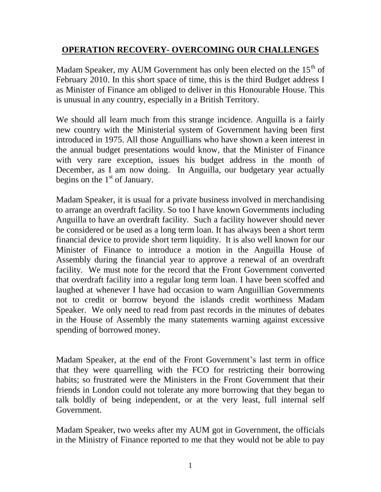### **OPERATION RECOVERY- OVERCOMING OUR CHALLENGES**

Madam Speaker, my AUM Government has only been elected on the  $15<sup>th</sup>$  of February 2010. In this short space of time, this is the third Budget address I as Minister of Finance am obliged to deliver in this Honourable House. This is unusual in any country, especially in a British Territory.

We should all learn much from this strange incidence. Anguilla is a fairly new country with the Ministerial system of Government having been first introduced in 1975. All those Anguillians who have shown a keen interest in the annual budget presentations would know, that the Minister of Finance with very rare exception, issues his budget address in the month of December, as I am now doing. In Anguilla, our budgetary year actually begins on the  $1<sup>st</sup>$  of January.

Madam Speaker, it is usual for a private business involved in merchandising to arrange an overdraft facility. So too I have known Governments including Anguilla to have an overdraft facility. Such a facility however should never be considered or be used as a long term loan. It has always been a short term financial device to provide short term liquidity. It is also well known for our Minister of Finance to introduce a motion in the Anguilla House of Assembly during the financial year to approve a renewal of an overdraft facility. We must note for the record that the Front Government converted that overdraft facility into a regular long term loan. I have been scoffed and laughed at whenever I have had occasion to warn Anguillian Governments not to credit or borrow beyond the islands credit worthiness Madam Speaker. We only need to read from past records in the minutes of debates in the House of Assembly the many statements warning against excessive spending of borrowed money.

Madam Speaker, at the end of the Front Government's last term in office that they were quarrelling with the FCO for restricting their borrowing habits; so frustrated were the Ministers in the Front Government that their friends in London could not tolerate any more borrowing that they began to talk boldly of being independent, or at the very least, full internal self Government.

Madam Speaker, two weeks after my AUM got in Government, the officials in the Ministry of Finance reported to me that they would not be able to pay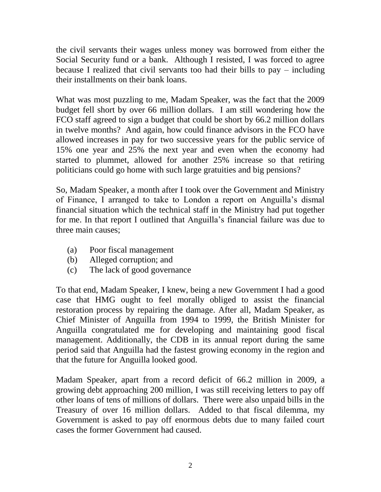the civil servants their wages unless money was borrowed from either the Social Security fund or a bank. Although I resisted, I was forced to agree because I realized that civil servants too had their bills to pay – including their installments on their bank loans.

What was most puzzling to me, Madam Speaker, was the fact that the 2009 budget fell short by over 66 million dollars. I am still wondering how the FCO staff agreed to sign a budget that could be short by 66.2 million dollars in twelve months? And again, how could finance advisors in the FCO have allowed increases in pay for two successive years for the public service of 15% one year and 25% the next year and even when the economy had started to plummet, allowed for another 25% increase so that retiring politicians could go home with such large gratuities and big pensions?

So, Madam Speaker, a month after I took over the Government and Ministry of Finance, I arranged to take to London a report on Anguilla"s dismal financial situation which the technical staff in the Ministry had put together for me. In that report I outlined that Anguilla"s financial failure was due to three main causes;

- (a) Poor fiscal management
- (b) Alleged corruption; and
- (c) The lack of good governance

To that end, Madam Speaker, I knew, being a new Government I had a good case that HMG ought to feel morally obliged to assist the financial restoration process by repairing the damage. After all, Madam Speaker, as Chief Minister of Anguilla from 1994 to 1999, the British Minister for Anguilla congratulated me for developing and maintaining good fiscal management. Additionally, the CDB in its annual report during the same period said that Anguilla had the fastest growing economy in the region and that the future for Anguilla looked good.

Madam Speaker, apart from a record deficit of 66.2 million in 2009, a growing debt approaching 200 million, I was still receiving letters to pay off other loans of tens of millions of dollars. There were also unpaid bills in the Treasury of over 16 million dollars. Added to that fiscal dilemma, my Government is asked to pay off enormous debts due to many failed court cases the former Government had caused.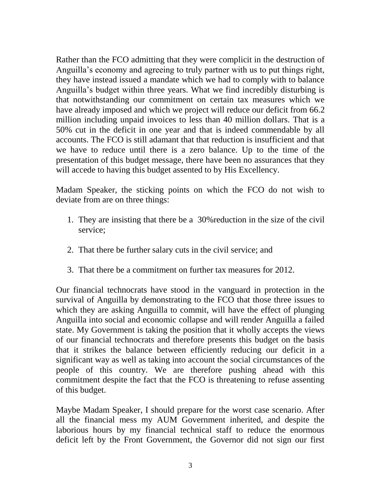Rather than the FCO admitting that they were complicit in the destruction of Anguilla"s economy and agreeing to truly partner with us to put things right, they have instead issued a mandate which we had to comply with to balance Anguilla"s budget within three years. What we find incredibly disturbing is that notwithstanding our commitment on certain tax measures which we have already imposed and which we project will reduce our deficit from 66.2 million including unpaid invoices to less than 40 million dollars. That is a 50% cut in the deficit in one year and that is indeed commendable by all accounts. The FCO is still adamant that that reduction is insufficient and that we have to reduce until there is a zero balance. Up to the time of the presentation of this budget message, there have been no assurances that they will accede to having this budget assented to by His Excellency.

Madam Speaker, the sticking points on which the FCO do not wish to deviate from are on three things:

- 1. They are insisting that there be a 30%reduction in the size of the civil service;
- 2. That there be further salary cuts in the civil service; and
- 3. That there be a commitment on further tax measures for 2012.

Our financial technocrats have stood in the vanguard in protection in the survival of Anguilla by demonstrating to the FCO that those three issues to which they are asking Anguilla to commit, will have the effect of plunging Anguilla into social and economic collapse and will render Anguilla a failed state. My Government is taking the position that it wholly accepts the views of our financial technocrats and therefore presents this budget on the basis that it strikes the balance between efficiently reducing our deficit in a significant way as well as taking into account the social circumstances of the people of this country. We are therefore pushing ahead with this commitment despite the fact that the FCO is threatening to refuse assenting of this budget.

Maybe Madam Speaker, I should prepare for the worst case scenario. After all the financial mess my AUM Government inherited, and despite the laborious hours by my financial technical staff to reduce the enormous deficit left by the Front Government, the Governor did not sign our first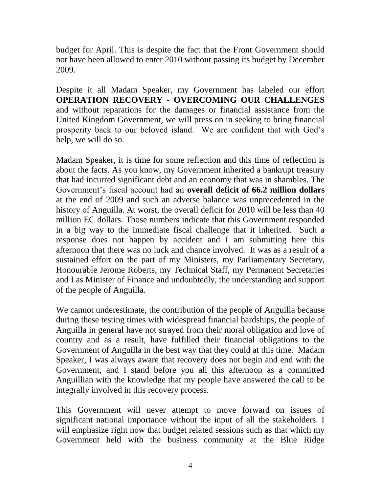budget for April. This is despite the fact that the Front Government should not have been allowed to enter 2010 without passing its budget by December 2009.

Despite it all Madam Speaker, my Government has labeled our effort **OPERATION RECOVERY - OVERCOMING OUR CHALLENGES**  and without reparations for the damages or financial assistance from the United Kingdom Government, we will press on in seeking to bring financial prosperity back to our beloved island. We are confident that with God"s help, we will do so.

Madam Speaker, it is time for some reflection and this time of reflection is about the facts. As you know, my Government inherited a bankrupt treasury that had incurred significant debt and an economy that was in shambles. The Government"s fiscal account had an **overall deficit of 66.2 million dollars** at the end of 2009 and such an adverse balance was unprecedented in the history of Anguilla. At worst, the overall deficit for 2010 will be less than 40 million EC dollars. Those numbers indicate that this Government responded in a big way to the immediate fiscal challenge that it inherited. Such a response does not happen by accident and I am submitting here this afternoon that there was no luck and chance involved. It was as a result of a sustained effort on the part of my Ministers, my Parliamentary Secretary, Honourable Jerome Roberts, my Technical Staff, my Permanent Secretaries and I as Minister of Finance and undoubtedly, the understanding and support of the people of Anguilla.

We cannot underestimate, the contribution of the people of Anguilla because during these testing times with widespread financial hardships, the people of Anguilla in general have not strayed from their moral obligation and love of country and as a result, have fulfilled their financial obligations to the Government of Anguilla in the best way that they could at this time. Madam Speaker, I was always aware that recovery does not begin and end with the Government, and I stand before you all this afternoon as a committed Anguillian with the knowledge that my people have answered the call to be integrally involved in this recovery process.

This Government will never attempt to move forward on issues of significant national importance without the input of all the stakeholders. I will emphasize right now that budget related sessions such as that which my Government held with the business community at the Blue Ridge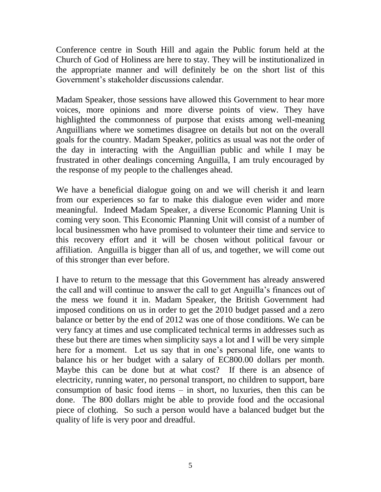Conference centre in South Hill and again the Public forum held at the Church of God of Holiness are here to stay. They will be institutionalized in the appropriate manner and will definitely be on the short list of this Government"s stakeholder discussions calendar.

Madam Speaker, those sessions have allowed this Government to hear more voices, more opinions and more diverse points of view. They have highlighted the commonness of purpose that exists among well-meaning Anguillians where we sometimes disagree on details but not on the overall goals for the country. Madam Speaker, politics as usual was not the order of the day in interacting with the Anguillian public and while I may be frustrated in other dealings concerning Anguilla, I am truly encouraged by the response of my people to the challenges ahead.

We have a beneficial dialogue going on and we will cherish it and learn from our experiences so far to make this dialogue even wider and more meaningful. Indeed Madam Speaker, a diverse Economic Planning Unit is coming very soon. This Economic Planning Unit will consist of a number of local businessmen who have promised to volunteer their time and service to this recovery effort and it will be chosen without political favour or affiliation. Anguilla is bigger than all of us, and together, we will come out of this stronger than ever before.

I have to return to the message that this Government has already answered the call and will continue to answer the call to get Anguilla"s finances out of the mess we found it in. Madam Speaker, the British Government had imposed conditions on us in order to get the 2010 budget passed and a zero balance or better by the end of 2012 was one of those conditions. We can be very fancy at times and use complicated technical terms in addresses such as these but there are times when simplicity says a lot and I will be very simple here for a moment. Let us say that in one"s personal life, one wants to balance his or her budget with a salary of EC800.00 dollars per month. Maybe this can be done but at what cost? If there is an absence of electricity, running water, no personal transport, no children to support, bare consumption of basic food items – in short, no luxuries, then this can be done. The 800 dollars might be able to provide food and the occasional piece of clothing. So such a person would have a balanced budget but the quality of life is very poor and dreadful.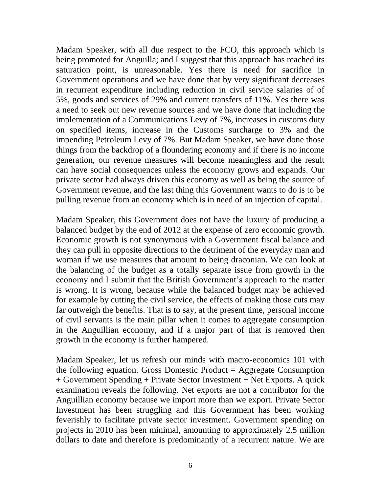Madam Speaker, with all due respect to the FCO, this approach which is being promoted for Anguilla; and I suggest that this approach has reached its saturation point, is unreasonable. Yes there is need for sacrifice in Government operations and we have done that by very significant decreases in recurrent expenditure including reduction in civil service salaries of of 5%, goods and services of 29% and current transfers of 11%. Yes there was a need to seek out new revenue sources and we have done that including the implementation of a Communications Levy of 7%, increases in customs duty on specified items, increase in the Customs surcharge to 3% and the impending Petroleum Levy of 7%. But Madam Speaker, we have done those things from the backdrop of a floundering economy and if there is no income generation, our revenue measures will become meaningless and the result can have social consequences unless the economy grows and expands. Our private sector had always driven this economy as well as being the source of Government revenue, and the last thing this Government wants to do is to be pulling revenue from an economy which is in need of an injection of capital.

Madam Speaker, this Government does not have the luxury of producing a balanced budget by the end of 2012 at the expense of zero economic growth. Economic growth is not synonymous with a Government fiscal balance and they can pull in opposite directions to the detriment of the everyday man and woman if we use measures that amount to being draconian. We can look at the balancing of the budget as a totally separate issue from growth in the economy and I submit that the British Government's approach to the matter is wrong. It is wrong, because while the balanced budget may be achieved for example by cutting the civil service, the effects of making those cuts may far outweigh the benefits. That is to say, at the present time, personal income of civil servants is the main pillar when it comes to aggregate consumption in the Anguillian economy, and if a major part of that is removed then growth in the economy is further hampered.

Madam Speaker, let us refresh our minds with macro-economics 101 with the following equation. Gross Domestic Product  $=$  Aggregate Consumption + Government Spending + Private Sector Investment + Net Exports. A quick examination reveals the following. Net exports are not a contributor for the Anguillian economy because we import more than we export. Private Sector Investment has been struggling and this Government has been working feverishly to facilitate private sector investment. Government spending on projects in 2010 has been minimal, amounting to approximately 2.5 million dollars to date and therefore is predominantly of a recurrent nature. We are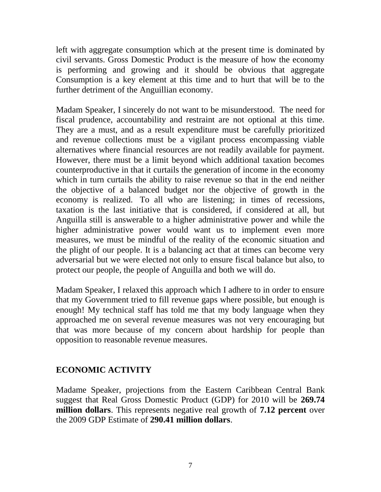left with aggregate consumption which at the present time is dominated by civil servants. Gross Domestic Product is the measure of how the economy is performing and growing and it should be obvious that aggregate Consumption is a key element at this time and to hurt that will be to the further detriment of the Anguillian economy.

Madam Speaker, I sincerely do not want to be misunderstood. The need for fiscal prudence, accountability and restraint are not optional at this time. They are a must, and as a result expenditure must be carefully prioritized and revenue collections must be a vigilant process encompassing viable alternatives where financial resources are not readily available for payment. However, there must be a limit beyond which additional taxation becomes counterproductive in that it curtails the generation of income in the economy which in turn curtails the ability to raise revenue so that in the end neither the objective of a balanced budget nor the objective of growth in the economy is realized. To all who are listening; in times of recessions, taxation is the last initiative that is considered, if considered at all, but Anguilla still is answerable to a higher administrative power and while the higher administrative power would want us to implement even more measures, we must be mindful of the reality of the economic situation and the plight of our people. It is a balancing act that at times can become very adversarial but we were elected not only to ensure fiscal balance but also, to protect our people, the people of Anguilla and both we will do.

Madam Speaker, I relaxed this approach which I adhere to in order to ensure that my Government tried to fill revenue gaps where possible, but enough is enough! My technical staff has told me that my body language when they approached me on several revenue measures was not very encouraging but that was more because of my concern about hardship for people than opposition to reasonable revenue measures.

# **ECONOMIC ACTIVITY**

Madame Speaker, projections from the Eastern Caribbean Central Bank suggest that Real Gross Domestic Product (GDP) for 2010 will be **269.74 million dollars**. This represents negative real growth of **7.12 percent** over the 2009 GDP Estimate of **290.41 million dollars**.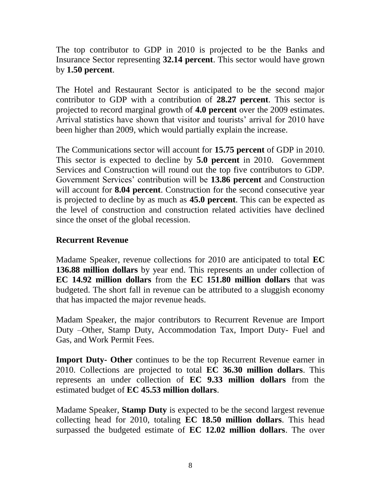The top contributor to GDP in 2010 is projected to be the Banks and Insurance Sector representing **32.14 percent**. This sector would have grown by **1.50 percent**.

The Hotel and Restaurant Sector is anticipated to be the second major contributor to GDP with a contribution of **28.27 percent**. This sector is projected to record marginal growth of **4.0 percent** over the 2009 estimates. Arrival statistics have shown that visitor and tourists' arrival for 2010 have been higher than 2009, which would partially explain the increase.

The Communications sector will account for **15.75 percent** of GDP in 2010. This sector is expected to decline by **5.0 percent** in 2010. Government Services and Construction will round out the top five contributors to GDP. Government Services" contribution will be **13.86 percent** and Construction will account for **8.04 percent**. Construction for the second consecutive year is projected to decline by as much as **45.0 percent**. This can be expected as the level of construction and construction related activities have declined since the onset of the global recession.

#### **Recurrent Revenue**

Madame Speaker, revenue collections for 2010 are anticipated to total **EC 136.88 million dollars** by year end. This represents an under collection of **EC 14.92 million dollars** from the **EC 151.80 million dollars** that was budgeted. The short fall in revenue can be attributed to a sluggish economy that has impacted the major revenue heads.

Madam Speaker, the major contributors to Recurrent Revenue are Import Duty –Other, Stamp Duty, Accommodation Tax, Import Duty- Fuel and Gas, and Work Permit Fees.

**Import Duty- Other** continues to be the top Recurrent Revenue earner in 2010. Collections are projected to total **EC 36.30 million dollars**. This represents an under collection of **EC 9.33 million dollars** from the estimated budget of **EC 45.53 million dollars**.

Madame Speaker, **Stamp Duty** is expected to be the second largest revenue collecting head for 2010, totaling **EC 18.50 million dollars**. This head surpassed the budgeted estimate of **EC 12.02 million dollars**. The over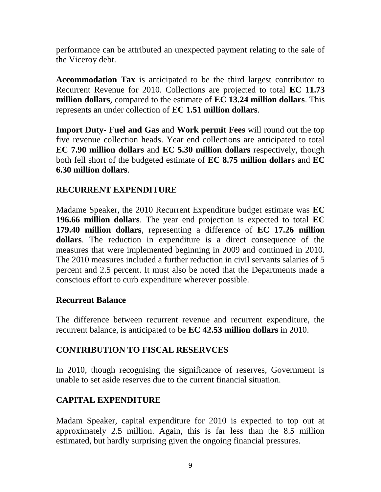performance can be attributed an unexpected payment relating to the sale of the Viceroy debt.

**Accommodation Tax** is anticipated to be the third largest contributor to Recurrent Revenue for 2010. Collections are projected to total **EC 11.73 million dollars**, compared to the estimate of **EC 13.24 million dollars**. This represents an under collection of **EC 1.51 million dollars**.

**Import Duty- Fuel and Gas** and **Work permit Fees** will round out the top five revenue collection heads. Year end collections are anticipated to total **EC 7.90 million dollars** and **EC 5.30 million dollars** respectively, though both fell short of the budgeted estimate of **EC 8.75 million dollars** and **EC 6.30 million dollars**.

## **RECURRENT EXPENDITURE**

Madame Speaker, the 2010 Recurrent Expenditure budget estimate was **EC 196.66 million dollars**. The year end projection is expected to total **EC 179.40 million dollars**, representing a difference of **EC 17.26 million dollars**. The reduction in expenditure is a direct consequence of the measures that were implemented beginning in 2009 and continued in 2010. The 2010 measures included a further reduction in civil servants salaries of 5 percent and 2.5 percent. It must also be noted that the Departments made a conscious effort to curb expenditure wherever possible.

### **Recurrent Balance**

The difference between recurrent revenue and recurrent expenditure, the recurrent balance, is anticipated to be **EC 42.53 million dollars** in 2010.

# **CONTRIBUTION TO FISCAL RESERVCES**

In 2010, though recognising the significance of reserves, Government is unable to set aside reserves due to the current financial situation.

# **CAPITAL EXPENDITURE**

Madam Speaker, capital expenditure for 2010 is expected to top out at approximately 2.5 million. Again, this is far less than the 8.5 million estimated, but hardly surprising given the ongoing financial pressures.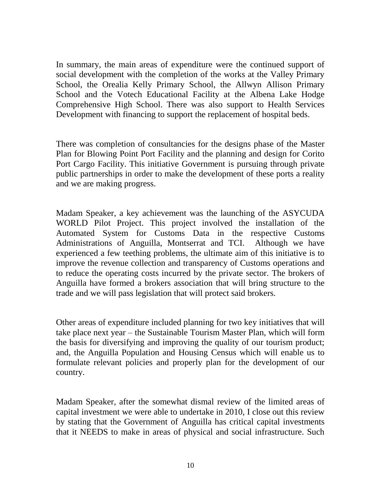In summary, the main areas of expenditure were the continued support of social development with the completion of the works at the Valley Primary School, the Orealia Kelly Primary School, the Allwyn Allison Primary School and the Votech Educational Facility at the Albena Lake Hodge Comprehensive High School. There was also support to Health Services Development with financing to support the replacement of hospital beds.

There was completion of consultancies for the designs phase of the Master Plan for Blowing Point Port Facility and the planning and design for Corito Port Cargo Facility. This initiative Government is pursuing through private public partnerships in order to make the development of these ports a reality and we are making progress.

Madam Speaker, a key achievement was the launching of the ASYCUDA WORLD Pilot Project. This project involved the installation of the Automated System for Customs Data in the respective Customs Administrations of Anguilla, Montserrat and TCI. Although we have experienced a few teething problems, the ultimate aim of this initiative is to improve the revenue collection and transparency of Customs operations and to reduce the operating costs incurred by the private sector. The brokers of Anguilla have formed a brokers association that will bring structure to the trade and we will pass legislation that will protect said brokers.

Other areas of expenditure included planning for two key initiatives that will take place next year – the Sustainable Tourism Master Plan, which will form the basis for diversifying and improving the quality of our tourism product; and, the Anguilla Population and Housing Census which will enable us to formulate relevant policies and properly plan for the development of our country.

Madam Speaker, after the somewhat dismal review of the limited areas of capital investment we were able to undertake in 2010, I close out this review by stating that the Government of Anguilla has critical capital investments that it NEEDS to make in areas of physical and social infrastructure. Such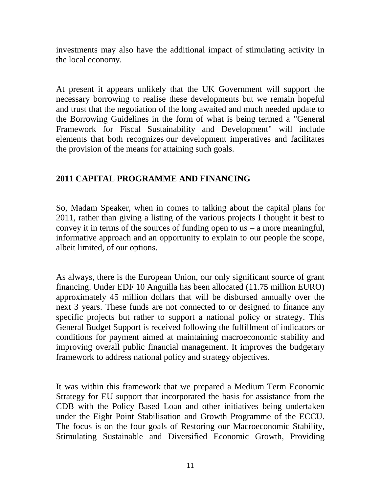investments may also have the additional impact of stimulating activity in the local economy.

At present it appears unlikely that the UK Government will support the necessary borrowing to realise these developments but we remain hopeful and trust that the negotiation of the long awaited and much needed update to the Borrowing Guidelines in the form of what is being termed a "General Framework for Fiscal Sustainability and Development" will include elements that both recognizes our development imperatives and facilitates the provision of the means for attaining such goals.

# **2011 CAPITAL PROGRAMME AND FINANCING**

So, Madam Speaker, when in comes to talking about the capital plans for 2011, rather than giving a listing of the various projects I thought it best to convey it in terms of the sources of funding open to us  $-$  a more meaningful, informative approach and an opportunity to explain to our people the scope, albeit limited, of our options.

As always, there is the European Union, our only significant source of grant financing. Under EDF 10 Anguilla has been allocated (11.75 million EURO) approximately 45 million dollars that will be disbursed annually over the next 3 years. These funds are not connected to or designed to finance any specific projects but rather to support a national policy or strategy. This General Budget Support is received following the fulfillment of indicators or conditions for payment aimed at maintaining macroeconomic stability and improving overall public financial management. It improves the budgetary framework to address national policy and strategy objectives.

It was within this framework that we prepared a Medium Term Economic Strategy for EU support that incorporated the basis for assistance from the CDB with the Policy Based Loan and other initiatives being undertaken under the Eight Point Stabilisation and Growth Programme of the ECCU. The focus is on the four goals of Restoring our Macroeconomic Stability, Stimulating Sustainable and Diversified Economic Growth, Providing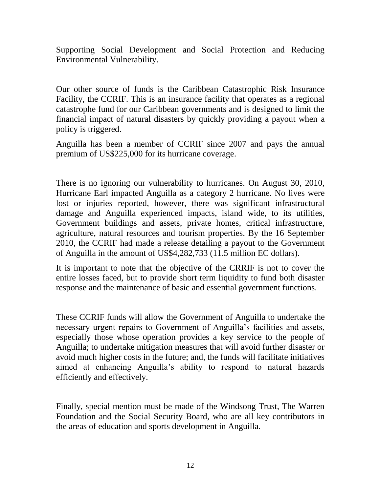Supporting Social Development and Social Protection and Reducing Environmental Vulnerability.

Our other source of funds is the Caribbean Catastrophic Risk Insurance Facility, the CCRIF. This is an insurance facility that operates as a regional catastrophe fund for our Caribbean governments and is designed to limit the financial impact of natural disasters by quickly providing a payout when a policy is triggered.

Anguilla has been a member of CCRIF since 2007 and pays the annual premium of US\$225,000 for its hurricane coverage.

There is no ignoring our vulnerability to hurricanes. On August 30, 2010, Hurricane Earl impacted Anguilla as a category 2 hurricane. No lives were lost or injuries reported, however, there was significant infrastructural damage and Anguilla experienced impacts, island wide, to its utilities, Government buildings and assets, private homes, critical infrastructure, agriculture, natural resources and tourism properties. By the 16 September 2010, the CCRIF had made a release detailing a payout to the Government of Anguilla in the amount of US\$4,282,733 (11.5 million EC dollars).

It is important to note that the objective of the CRRIF is not to cover the entire losses faced, but to provide short term liquidity to fund both disaster response and the maintenance of basic and essential government functions.

These CCRIF funds will allow the Government of Anguilla to undertake the necessary urgent repairs to Government of Anguilla"s facilities and assets, especially those whose operation provides a key service to the people of Anguilla; to undertake mitigation measures that will avoid further disaster or avoid much higher costs in the future; and, the funds will facilitate initiatives aimed at enhancing Anguilla"s ability to respond to natural hazards efficiently and effectively.

Finally, special mention must be made of the Windsong Trust, The Warren Foundation and the Social Security Board, who are all key contributors in the areas of education and sports development in Anguilla.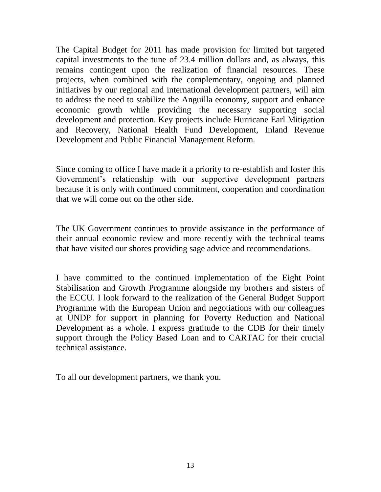The Capital Budget for 2011 has made provision for limited but targeted capital investments to the tune of 23.4 million dollars and, as always, this remains contingent upon the realization of financial resources. These projects, when combined with the complementary, ongoing and planned initiatives by our regional and international development partners, will aim to address the need to stabilize the Anguilla economy, support and enhance economic growth while providing the necessary supporting social development and protection. Key projects include Hurricane Earl Mitigation and Recovery, National Health Fund Development, Inland Revenue Development and Public Financial Management Reform.

Since coming to office I have made it a priority to re-establish and foster this Government's relationship with our supportive development partners because it is only with continued commitment, cooperation and coordination that we will come out on the other side.

The UK Government continues to provide assistance in the performance of their annual economic review and more recently with the technical teams that have visited our shores providing sage advice and recommendations.

I have committed to the continued implementation of the Eight Point Stabilisation and Growth Programme alongside my brothers and sisters of the ECCU. I look forward to the realization of the General Budget Support Programme with the European Union and negotiations with our colleagues at UNDP for support in planning for Poverty Reduction and National Development as a whole. I express gratitude to the CDB for their timely support through the Policy Based Loan and to CARTAC for their crucial technical assistance.

To all our development partners, we thank you.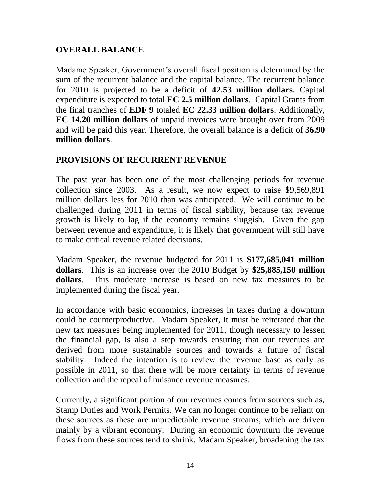## **OVERALL BALANCE**

Madame Speaker, Government's overall fiscal position is determined by the sum of the recurrent balance and the capital balance. The recurrent balance for 2010 is projected to be a deficit of **42.53 million dollars.** Capital expenditure is expected to total **EC 2.5 million dollars**. Capital Grants from the final tranches of **EDF 9** totaled **EC 22.33 million dollars**. Additionally, **EC 14.20 million dollars** of unpaid invoices were brought over from 2009 and will be paid this year. Therefore, the overall balance is a deficit of **36.90 million dollars**.

### **PROVISIONS OF RECURRENT REVENUE**

The past year has been one of the most challenging periods for revenue collection since 2003. As a result, we now expect to raise \$9,569,891 million dollars less for 2010 than was anticipated. We will continue to be challenged during 2011 in terms of fiscal stability, because tax revenue growth is likely to lag if the economy remains sluggish. Given the gap between revenue and expenditure, it is likely that government will still have to make critical revenue related decisions.

Madam Speaker, the revenue budgeted for 2011 is **\$177,685,041 million dollars**. This is an increase over the 2010 Budget by **\$25,885,150 million dollars**. This moderate increase is based on new tax measures to be implemented during the fiscal year.

In accordance with basic economics, increases in taxes during a downturn could be counterproductive. Madam Speaker, it must be reiterated that the new tax measures being implemented for 2011, though necessary to lessen the financial gap, is also a step towards ensuring that our revenues are derived from more sustainable sources and towards a future of fiscal stability. Indeed the intention is to review the revenue base as early as possible in 2011, so that there will be more certainty in terms of revenue collection and the repeal of nuisance revenue measures.

Currently, a significant portion of our revenues comes from sources such as, Stamp Duties and Work Permits. We can no longer continue to be reliant on these sources as these are unpredictable revenue streams, which are driven mainly by a vibrant economy. During an economic downturn the revenue flows from these sources tend to shrink. Madam Speaker, broadening the tax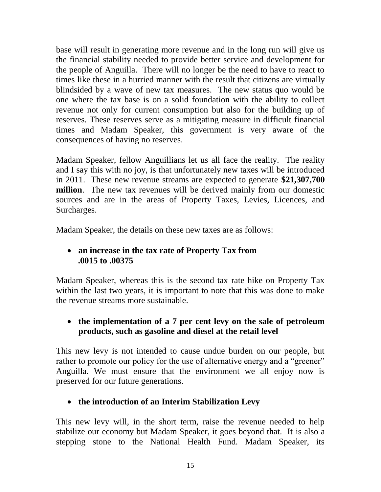base will result in generating more revenue and in the long run will give us the financial stability needed to provide better service and development for the people of Anguilla. There will no longer be the need to have to react to times like these in a hurried manner with the result that citizens are virtually blindsided by a wave of new tax measures. The new status quo would be one where the tax base is on a solid foundation with the ability to collect revenue not only for current consumption but also for the building up of reserves. These reserves serve as a mitigating measure in difficult financial times and Madam Speaker, this government is very aware of the consequences of having no reserves.

Madam Speaker, fellow Anguillians let us all face the reality. The reality and I say this with no joy, is that unfortunately new taxes will be introduced in 2011. These new revenue streams are expected to generate **\$21,307,700 million**. The new tax revenues will be derived mainly from our domestic sources and are in the areas of Property Taxes, Levies, Licences, and Surcharges.

Madam Speaker, the details on these new taxes are as follows:

### **an increase in the tax rate of Property Tax from .0015 to .00375**

Madam Speaker, whereas this is the second tax rate hike on Property Tax within the last two years, it is important to note that this was done to make the revenue streams more sustainable.

### **the implementation of a 7 per cent levy on the sale of petroleum products, such as gasoline and diesel at the retail level**

This new levy is not intended to cause undue burden on our people, but rather to promote our policy for the use of alternative energy and a "greener" Anguilla. We must ensure that the environment we all enjoy now is preserved for our future generations.

# **the introduction of an Interim Stabilization Levy**

This new levy will, in the short term, raise the revenue needed to help stabilize our economy but Madam Speaker, it goes beyond that. It is also a stepping stone to the National Health Fund. Madam Speaker, its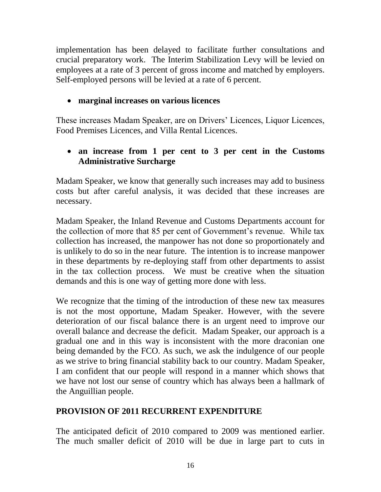implementation has been delayed to facilitate further consultations and crucial preparatory work. The Interim Stabilization Levy will be levied on employees at a rate of 3 percent of gross income and matched by employers. Self-employed persons will be levied at a rate of 6 percent.

## **marginal increases on various licences**

These increases Madam Speaker, are on Drivers" Licences, Liquor Licences, Food Premises Licences, and Villa Rental Licences.

## **an increase from 1 per cent to 3 per cent in the Customs Administrative Surcharge**

Madam Speaker, we know that generally such increases may add to business costs but after careful analysis, it was decided that these increases are necessary.

Madam Speaker, the Inland Revenue and Customs Departments account for the collection of more that 85 per cent of Government's revenue. While tax collection has increased, the manpower has not done so proportionately and is unlikely to do so in the near future. The intention is to increase manpower in these departments by re-deploying staff from other departments to assist in the tax collection process. We must be creative when the situation demands and this is one way of getting more done with less.

We recognize that the timing of the introduction of these new tax measures is not the most opportune, Madam Speaker. However, with the severe deterioration of our fiscal balance there is an urgent need to improve our overall balance and decrease the deficit. Madam Speaker, our approach is a gradual one and in this way is inconsistent with the more draconian one being demanded by the FCO. As such, we ask the indulgence of our people as we strive to bring financial stability back to our country. Madam Speaker, I am confident that our people will respond in a manner which shows that we have not lost our sense of country which has always been a hallmark of the Anguillian people.

# **PROVISION OF 2011 RECURRENT EXPENDITURE**

The anticipated deficit of 2010 compared to 2009 was mentioned earlier. The much smaller deficit of 2010 will be due in large part to cuts in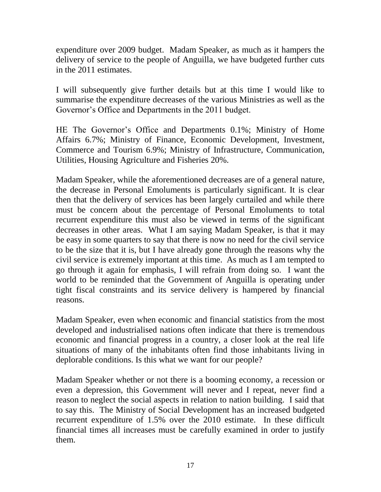expenditure over 2009 budget. Madam Speaker, as much as it hampers the delivery of service to the people of Anguilla, we have budgeted further cuts in the 2011 estimates.

I will subsequently give further details but at this time I would like to summarise the expenditure decreases of the various Ministries as well as the Governor"s Office and Departments in the 2011 budget.

HE The Governor's Office and Departments 0.1%; Ministry of Home Affairs 6.7%; Ministry of Finance, Economic Development, Investment, Commerce and Tourism 6.9%; Ministry of Infrastructure, Communication, Utilities, Housing Agriculture and Fisheries 20%.

Madam Speaker, while the aforementioned decreases are of a general nature, the decrease in Personal Emoluments is particularly significant. It is clear then that the delivery of services has been largely curtailed and while there must be concern about the percentage of Personal Emoluments to total recurrent expenditure this must also be viewed in terms of the significant decreases in other areas. What I am saying Madam Speaker, is that it may be easy in some quarters to say that there is now no need for the civil service to be the size that it is, but I have already gone through the reasons why the civil service is extremely important at this time. As much as I am tempted to go through it again for emphasis, I will refrain from doing so. I want the world to be reminded that the Government of Anguilla is operating under tight fiscal constraints and its service delivery is hampered by financial reasons.

Madam Speaker, even when economic and financial statistics from the most developed and industrialised nations often indicate that there is tremendous economic and financial progress in a country, a closer look at the real life situations of many of the inhabitants often find those inhabitants living in deplorable conditions. Is this what we want for our people?

Madam Speaker whether or not there is a booming economy, a recession or even a depression, this Government will never and I repeat, never find a reason to neglect the social aspects in relation to nation building. I said that to say this. The Ministry of Social Development has an increased budgeted recurrent expenditure of 1.5% over the 2010 estimate. In these difficult financial times all increases must be carefully examined in order to justify them.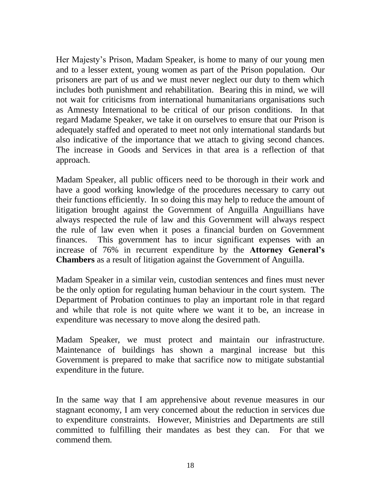Her Majesty"s Prison, Madam Speaker, is home to many of our young men and to a lesser extent, young women as part of the Prison population. Our prisoners are part of us and we must never neglect our duty to them which includes both punishment and rehabilitation. Bearing this in mind, we will not wait for criticisms from international humanitarians organisations such as Amnesty International to be critical of our prison conditions. In that regard Madame Speaker, we take it on ourselves to ensure that our Prison is adequately staffed and operated to meet not only international standards but also indicative of the importance that we attach to giving second chances. The increase in Goods and Services in that area is a reflection of that approach.

Madam Speaker, all public officers need to be thorough in their work and have a good working knowledge of the procedures necessary to carry out their functions efficiently. In so doing this may help to reduce the amount of litigation brought against the Government of Anguilla Anguillians have always respected the rule of law and this Government will always respect the rule of law even when it poses a financial burden on Government finances. This government has to incur significant expenses with an increase of 76% in recurrent expenditure by the **Attorney General's Chambers** as a result of litigation against the Government of Anguilla.

Madam Speaker in a similar vein, custodian sentences and fines must never be the only option for regulating human behaviour in the court system. The Department of Probation continues to play an important role in that regard and while that role is not quite where we want it to be, an increase in expenditure was necessary to move along the desired path.

Madam Speaker, we must protect and maintain our infrastructure. Maintenance of buildings has shown a marginal increase but this Government is prepared to make that sacrifice now to mitigate substantial expenditure in the future.

In the same way that I am apprehensive about revenue measures in our stagnant economy, I am very concerned about the reduction in services due to expenditure constraints. However, Ministries and Departments are still committed to fulfilling their mandates as best they can. For that we commend them.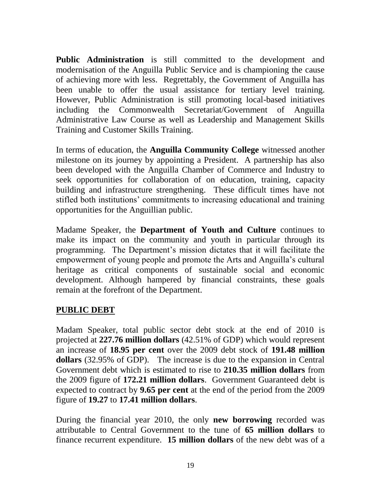**Public Administration** is still committed to the development and modernisation of the Anguilla Public Service and is championing the cause of achieving more with less. Regrettably, the Government of Anguilla has been unable to offer the usual assistance for tertiary level training. However, Public Administration is still promoting local-based initiatives including the Commonwealth Secretariat/Government of Anguilla Administrative Law Course as well as Leadership and Management Skills Training and Customer Skills Training.

In terms of education, the **Anguilla Community College** witnessed another milestone on its journey by appointing a President. A partnership has also been developed with the Anguilla Chamber of Commerce and Industry to seek opportunities for collaboration of on education, training, capacity building and infrastructure strengthening. These difficult times have not stifled both institutions" commitments to increasing educational and training opportunities for the Anguillian public.

Madame Speaker, the **Department of Youth and Culture** continues to make its impact on the community and youth in particular through its programming. The Department"s mission dictates that it will facilitate the empowerment of young people and promote the Arts and Anguilla"s cultural heritage as critical components of sustainable social and economic development. Although hampered by financial constraints, these goals remain at the forefront of the Department.

### **PUBLIC DEBT**

Madam Speaker, total public sector debt stock at the end of 2010 is projected at **227.76 million dollars** (42.51% of GDP) which would represent an increase of **18.95 per cent** over the 2009 debt stock of **191.48 million dollars** (32.95% of GDP). The increase is due to the expansion in Central Government debt which is estimated to rise to **210.35 million dollars** from the 2009 figure of **172.21 million dollars**. Government Guaranteed debt is expected to contract by **9.65 per cent** at the end of the period from the 2009 figure of **19.27** to **17.41 million dollars**.

During the financial year 2010, the only **new borrowing** recorded was attributable to Central Government to the tune of **65 million dollars** to finance recurrent expenditure. **15 million dollars** of the new debt was of a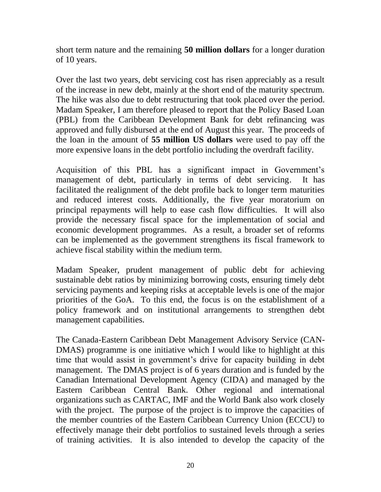short term nature and the remaining **50 million dollars** for a longer duration of 10 years.

Over the last two years, debt servicing cost has risen appreciably as a result of the increase in new debt, mainly at the short end of the maturity spectrum. The hike was also due to debt restructuring that took placed over the period. Madam Speaker, I am therefore pleased to report that the Policy Based Loan (PBL) from the Caribbean Development Bank for debt refinancing was approved and fully disbursed at the end of August this year. The proceeds of the loan in the amount of **55 million US dollars** were used to pay off the more expensive loans in the debt portfolio including the overdraft facility.

Acquisition of this PBL has a significant impact in Government's management of debt, particularly in terms of debt servicing. It has facilitated the realignment of the debt profile back to longer term maturities and reduced interest costs. Additionally, the five year moratorium on principal repayments will help to ease cash flow difficulties. It will also provide the necessary fiscal space for the implementation of social and economic development programmes. As a result, a broader set of reforms can be implemented as the government strengthens its fiscal framework to achieve fiscal stability within the medium term.

Madam Speaker, prudent management of public debt for achieving sustainable debt ratios by minimizing borrowing costs, ensuring timely debt servicing payments and keeping risks at acceptable levels is one of the major priorities of the GoA. To this end, the focus is on the establishment of a policy framework and on institutional arrangements to strengthen debt management capabilities.

The Canada-Eastern Caribbean Debt Management Advisory Service (CAN-DMAS) programme is one initiative which I would like to highlight at this time that would assist in government's drive for capacity building in debt management. The DMAS project is of 6 years duration and is funded by the Canadian International Development Agency (CIDA) and managed by the Eastern Caribbean Central Bank. Other regional and international organizations such as CARTAC, IMF and the World Bank also work closely with the project. The purpose of the project is to improve the capacities of the member countries of the Eastern Caribbean Currency Union (ECCU) to effectively manage their debt portfolios to sustained levels through a series of training activities. It is also intended to develop the capacity of the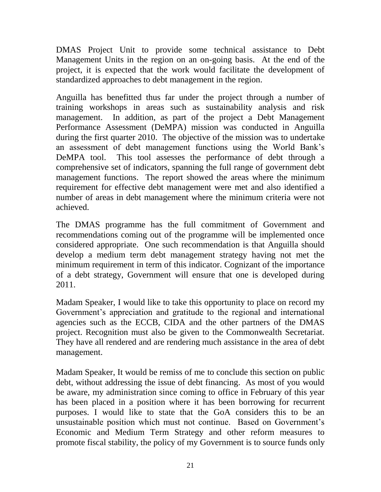DMAS Project Unit to provide some technical assistance to Debt Management Units in the region on an on-going basis. At the end of the project, it is expected that the work would facilitate the development of standardized approaches to debt management in the region.

Anguilla has benefitted thus far under the project through a number of training workshops in areas such as sustainability analysis and risk management. In addition, as part of the project a Debt Management Performance Assessment (DeMPA) mission was conducted in Anguilla during the first quarter 2010. The objective of the mission was to undertake an assessment of debt management functions using the World Bank"s DeMPA tool. This tool assesses the performance of debt through a comprehensive set of indicators, spanning the full range of government debt management functions. The report showed the areas where the minimum requirement for effective debt management were met and also identified a number of areas in debt management where the minimum criteria were not achieved.

The DMAS programme has the full commitment of Government and recommendations coming out of the programme will be implemented once considered appropriate. One such recommendation is that Anguilla should develop a medium term debt management strategy having not met the minimum requirement in term of this indicator. Cognizant of the importance of a debt strategy, Government will ensure that one is developed during 2011.

Madam Speaker, I would like to take this opportunity to place on record my Government's appreciation and gratitude to the regional and international agencies such as the ECCB, CIDA and the other partners of the DMAS project. Recognition must also be given to the Commonwealth Secretariat. They have all rendered and are rendering much assistance in the area of debt management.

Madam Speaker, It would be remiss of me to conclude this section on public debt, without addressing the issue of debt financing. As most of you would be aware, my administration since coming to office in February of this year has been placed in a position where it has been borrowing for recurrent purposes. I would like to state that the GoA considers this to be an unsustainable position which must not continue. Based on Government's Economic and Medium Term Strategy and other reform measures to promote fiscal stability, the policy of my Government is to source funds only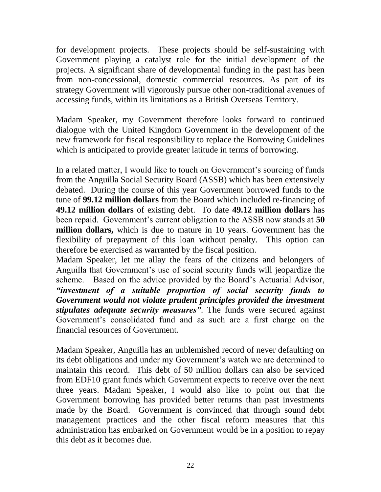for development projects. These projects should be self-sustaining with Government playing a catalyst role for the initial development of the projects. A significant share of developmental funding in the past has been from non-concessional, domestic commercial resources. As part of its strategy Government will vigorously pursue other non-traditional avenues of accessing funds, within its limitations as a British Overseas Territory.

Madam Speaker, my Government therefore looks forward to continued dialogue with the United Kingdom Government in the development of the new framework for fiscal responsibility to replace the Borrowing Guidelines which is anticipated to provide greater latitude in terms of borrowing.

In a related matter, I would like to touch on Government's sourcing of funds from the Anguilla Social Security Board (ASSB) which has been extensively debated. During the course of this year Government borrowed funds to the tune of **99.12 million dollars** from the Board which included re-financing of **49.12 million dollars** of existing debt. To date **49.12 million dollars** has been repaid. Government"s current obligation to the ASSB now stands at **50 million dollars,** which is due to mature in 10 years. Government has the flexibility of prepayment of this loan without penalty. This option can therefore be exercised as warranted by the fiscal position.

Madam Speaker, let me allay the fears of the citizens and belongers of Anguilla that Government's use of social security funds will jeopardize the scheme. Based on the advice provided by the Board"s Actuarial Advisor, *"investment of a suitable proportion of social security funds to Government would not violate prudent principles provided the investment stipulates adequate security measures"*. The funds were secured against Government's consolidated fund and as such are a first charge on the financial resources of Government.

Madam Speaker, Anguilla has an unblemished record of never defaulting on its debt obligations and under my Government"s watch we are determined to maintain this record. This debt of 50 million dollars can also be serviced from EDF10 grant funds which Government expects to receive over the next three years. Madam Speaker, I would also like to point out that the Government borrowing has provided better returns than past investments made by the Board. Government is convinced that through sound debt management practices and the other fiscal reform measures that this administration has embarked on Government would be in a position to repay this debt as it becomes due.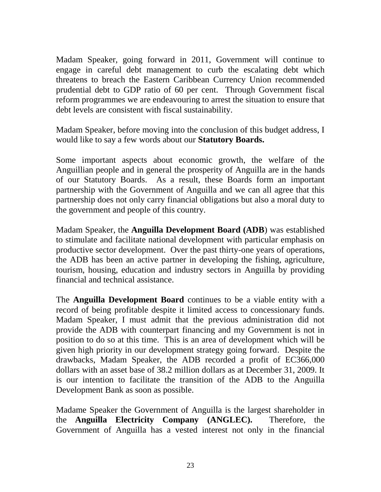Madam Speaker, going forward in 2011, Government will continue to engage in careful debt management to curb the escalating debt which threatens to breach the Eastern Caribbean Currency Union recommended prudential debt to GDP ratio of 60 per cent. Through Government fiscal reform programmes we are endeavouring to arrest the situation to ensure that debt levels are consistent with fiscal sustainability.

Madam Speaker, before moving into the conclusion of this budget address, I would like to say a few words about our **Statutory Boards.**

Some important aspects about economic growth, the welfare of the Anguillian people and in general the prosperity of Anguilla are in the hands of our Statutory Boards. As a result, these Boards form an important partnership with the Government of Anguilla and we can all agree that this partnership does not only carry financial obligations but also a moral duty to the government and people of this country.

Madam Speaker, the **Anguilla Development Board (ADB**) was established to stimulate and facilitate national development with particular emphasis on productive sector development. Over the past thirty-one years of operations, the ADB has been an active partner in developing the fishing, agriculture, tourism, housing, education and industry sectors in Anguilla by providing financial and technical assistance.

The **Anguilla Development Board** continues to be a viable entity with a record of being profitable despite it limited access to concessionary funds. Madam Speaker, I must admit that the previous administration did not provide the ADB with counterpart financing and my Government is not in position to do so at this time. This is an area of development which will be given high priority in our development strategy going forward. Despite the drawbacks, Madam Speaker, the ADB recorded a profit of EC366,000 dollars with an asset base of 38.2 million dollars as at December 31, 2009. It is our intention to facilitate the transition of the ADB to the Anguilla Development Bank as soon as possible.

Madame Speaker the Government of Anguilla is the largest shareholder in the **Anguilla Electricity Company (ANGLEC).** Therefore, the Government of Anguilla has a vested interest not only in the financial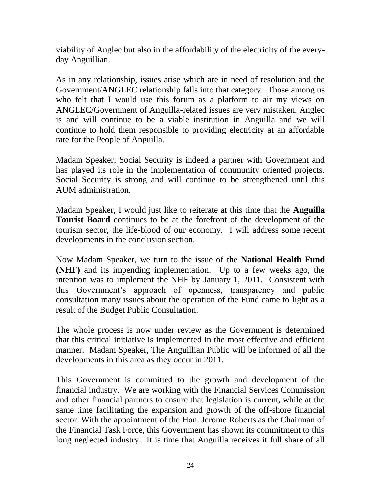viability of Anglec but also in the affordability of the electricity of the everyday Anguillian.

As in any relationship, issues arise which are in need of resolution and the Government/ANGLEC relationship falls into that category. Those among us who felt that I would use this forum as a platform to air my views on ANGLEC/Government of Anguilla-related issues are very mistaken. Anglec is and will continue to be a viable institution in Anguilla and we will continue to hold them responsible to providing electricity at an affordable rate for the People of Anguilla.

Madam Speaker, Social Security is indeed a partner with Government and has played its role in the implementation of community oriented projects. Social Security is strong and will continue to be strengthened until this AUM administration.

Madam Speaker, I would just like to reiterate at this time that the **Anguilla Tourist Board** continues to be at the forefront of the development of the tourism sector, the life-blood of our economy. I will address some recent developments in the conclusion section.

Now Madam Speaker, we turn to the issue of the **National Health Fund (NHF)** and its impending implementation. Up to a few weeks ago, the intention was to implement the NHF by January 1, 2011. Consistent with this Government"s approach of openness, transparency and public consultation many issues about the operation of the Fund came to light as a result of the Budget Public Consultation.

The whole process is now under review as the Government is determined that this critical initiative is implemented in the most effective and efficient manner. Madam Speaker, The Anguillian Public will be informed of all the developments in this area as they occur in 2011.

This Government is committed to the growth and development of the financial industry. We are working with the Financial Services Commission and other financial partners to ensure that legislation is current, while at the same time facilitating the expansion and growth of the off-shore financial sector. With the appointment of the Hon. Jerome Roberts as the Chairman of the Financial Task Force, this Government has shown its commitment to this long neglected industry. It is time that Anguilla receives it full share of all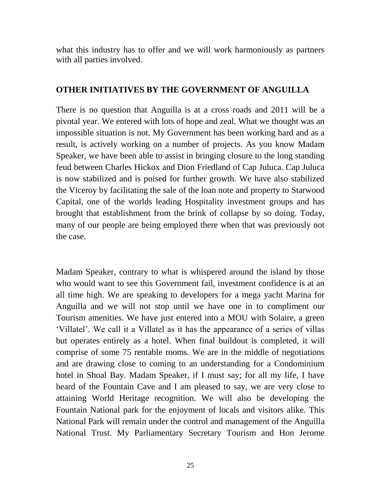what this industry has to offer and we will work harmoniously as partners with all parties involved.

#### **OTHER INITIATIVES BY THE GOVERNMENT OF ANGUILLA**

There is no question that Anguilla is at a cross roads and 2011 will be a pivotal year. We entered with lots of hope and zeal. What we thought was an impossible situation is not. My Government has been working hard and as a result, is actively working on a number of projects. As you know Madam Speaker, we have been able to assist in bringing closure to the long standing feud between Charles Hickox and Dion Friedland of Cap Juluca. Cap Juluca is now stabilized and is poised for further growth. We have also stabilized the Viceroy by facilitating the sale of the loan note and property to Starwood Capital, one of the worlds leading Hospitality investment groups and has brought that establishment from the brink of collapse by so doing. Today, many of our people are being employed there when that was previously not the case.

Madam Speaker, contrary to what is whispered around the island by those who would want to see this Government fail, investment confidence is at an all time high. We are speaking to developers for a mega yacht Marina for Anguilla and we will not stop until we have one in to compliment our Tourism amenities. We have just entered into a MOU with Solaire, a green "Villatel". We call it a Villatel as it has the appearance of a series of villas but operates entirely as a hotel. When final buildout is completed, it will comprise of some 75 rentable rooms. We are in the middle of negotiations and are drawing close to coming to an understanding for a Condominium hotel in Shoal Bay. Madam Speaker, if I must say; for all my life, I have heard of the Fountain Cave and I am pleased to say, we are very close to attaining World Heritage recognition. We will also be developing the Fountain National park for the enjoyment of locals and visitors alike. This National Park will remain under the control and management of the Anguilla National Trust. My Parliamentary Secretary Tourism and Hon Jerome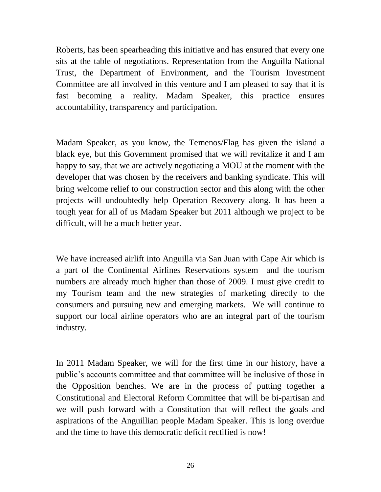Roberts, has been spearheading this initiative and has ensured that every one sits at the table of negotiations. Representation from the Anguilla National Trust, the Department of Environment, and the Tourism Investment Committee are all involved in this venture and I am pleased to say that it is fast becoming a reality. Madam Speaker, this practice ensures accountability, transparency and participation.

Madam Speaker, as you know, the Temenos/Flag has given the island a black eye, but this Government promised that we will revitalize it and I am happy to say, that we are actively negotiating a MOU at the moment with the developer that was chosen by the receivers and banking syndicate. This will bring welcome relief to our construction sector and this along with the other projects will undoubtedly help Operation Recovery along. It has been a tough year for all of us Madam Speaker but 2011 although we project to be difficult, will be a much better year.

We have increased airlift into Anguilla via San Juan with Cape Air which is a part of the Continental Airlines Reservations system and the tourism numbers are already much higher than those of 2009. I must give credit to my Tourism team and the new strategies of marketing directly to the consumers and pursuing new and emerging markets. We will continue to support our local airline operators who are an integral part of the tourism industry.

In 2011 Madam Speaker, we will for the first time in our history, have a public"s accounts committee and that committee will be inclusive of those in the Opposition benches. We are in the process of putting together a Constitutional and Electoral Reform Committee that will be bi-partisan and we will push forward with a Constitution that will reflect the goals and aspirations of the Anguillian people Madam Speaker. This is long overdue and the time to have this democratic deficit rectified is now!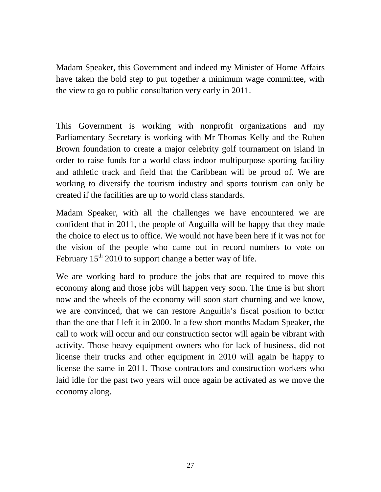Madam Speaker, this Government and indeed my Minister of Home Affairs have taken the bold step to put together a minimum wage committee, with the view to go to public consultation very early in 2011.

This Government is working with nonprofit organizations and my Parliamentary Secretary is working with Mr Thomas Kelly and the Ruben Brown foundation to create a major celebrity golf tournament on island in order to raise funds for a world class indoor multipurpose sporting facility and athletic track and field that the Caribbean will be proud of. We are working to diversify the tourism industry and sports tourism can only be created if the facilities are up to world class standards.

Madam Speaker, with all the challenges we have encountered we are confident that in 2011, the people of Anguilla will be happy that they made the choice to elect us to office. We would not have been here if it was not for the vision of the people who came out in record numbers to vote on February  $15<sup>th</sup>$  2010 to support change a better way of life.

We are working hard to produce the jobs that are required to move this economy along and those jobs will happen very soon. The time is but short now and the wheels of the economy will soon start churning and we know, we are convinced, that we can restore Anguilla"s fiscal position to better than the one that I left it in 2000. In a few short months Madam Speaker, the call to work will occur and our construction sector will again be vibrant with activity. Those heavy equipment owners who for lack of business, did not license their trucks and other equipment in 2010 will again be happy to license the same in 2011. Those contractors and construction workers who laid idle for the past two years will once again be activated as we move the economy along.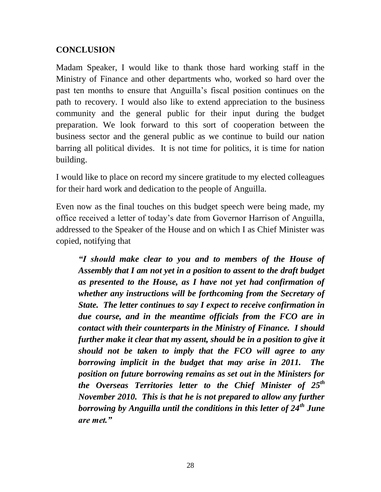#### **CONCLUSION**

Madam Speaker, I would like to thank those hard working staff in the Ministry of Finance and other departments who, worked so hard over the past ten months to ensure that Anguilla"s fiscal position continues on the path to recovery. I would also like to extend appreciation to the business community and the general public for their input during the budget preparation. We look forward to this sort of cooperation between the business sector and the general public as we continue to build our nation barring all political divides. It is not time for politics, it is time for nation building.

I would like to place on record my sincere gratitude to my elected colleagues for their hard work and dedication to the people of Anguilla.

Even now as the final touches on this budget speech were being made, my office received a letter of today"s date from Governor Harrison of Anguilla, addressed to the Speaker of the House and on which I as Chief Minister was copied, notifying that

*"I should make clear to you and to members of the House of Assembly that I am not yet in a position to assent to the draft budget as presented to the House, as I have not yet had confirmation of whether any instructions will be forthcoming from the Secretary of State. The letter continues to say I expect to receive confirmation in due course, and in the meantime officials from the FCO are in contact with their counterparts in the Ministry of Finance. I should further make it clear that my assent, should be in a position to give it should not be taken to imply that the FCO will agree to any borrowing implicit in the budget that may arise in 2011. The position on future borrowing remains as set out in the Ministers for the Overseas Territories letter to the Chief Minister of 25th November 2010. This is that he is not prepared to allow any further borrowing by Anguilla until the conditions in this letter of 24th June are met."*